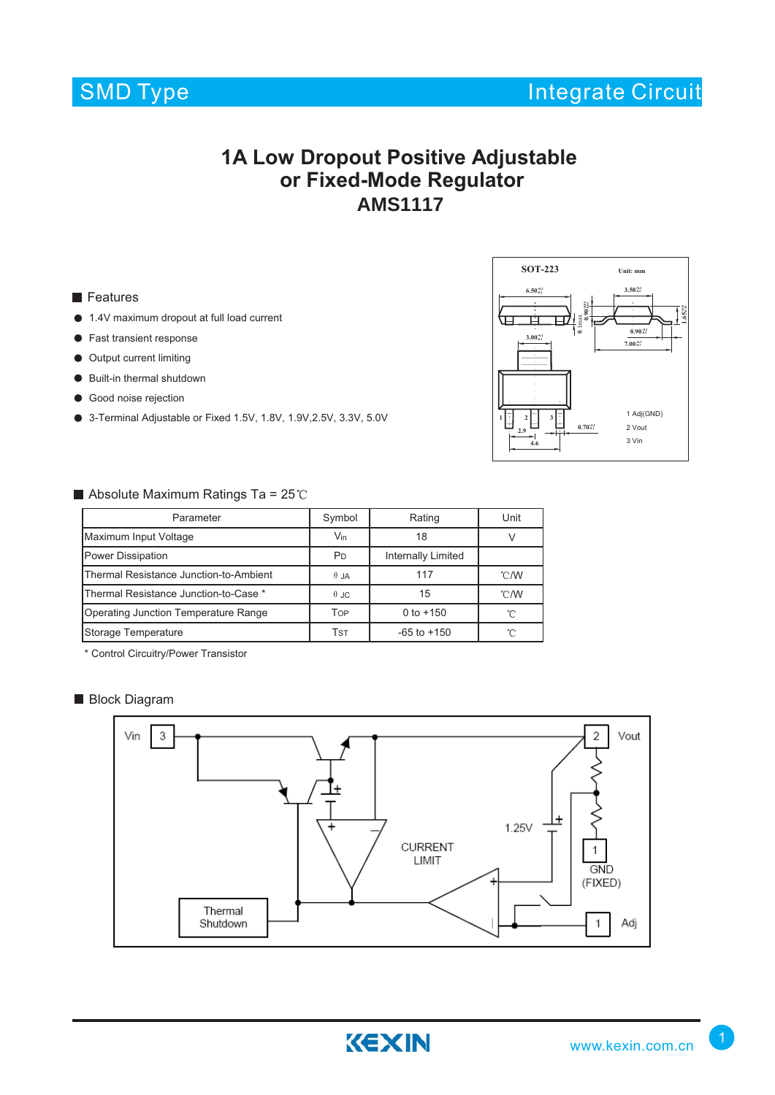

### **1A Low Dropout Positive Adjustable or Fixed-Mode Regulator AMS1117**

#### **Features**

- 1.4V maximum dropout at full load current
- **•** Fast transient response
- $\bullet$  Output current limiting
- Built-in thermal shutdown
- Good noise rejection
- 3-Terminal Adjustable or Fixed 1.5V, 1.8V, 1.9V, 2.5V, 3.3V, 5.0V



#### Absolute Maximum Ratings Ta =  $25^{\circ}$ C

| Parameter                              | Symbol                                      | Rating          | Unit           |
|----------------------------------------|---------------------------------------------|-----------------|----------------|
| Maximum Input Voltage                  | $V_{\text{in}}$                             | 18              |                |
| <b>Power Dissipation</b>               | <b>Internally Limited</b><br>P <sub>D</sub> |                 |                |
| Thermal Resistance Junction-to-Ambient | $\theta$ JA                                 | 117             | $^{\circ}$ C/W |
| Thermal Resistance Junction-to-Case *  | $\theta$ JC                                 | 15              | $^{\circ}$ C/W |
| Operating Junction Temperature Range   | Top                                         | 0 to $+150$     | °∩             |
| Storage Temperature                    | Tst                                         | $-65$ to $+150$ |                |

\* Control Circuitry/Power Transistor

#### **Block Diagram**